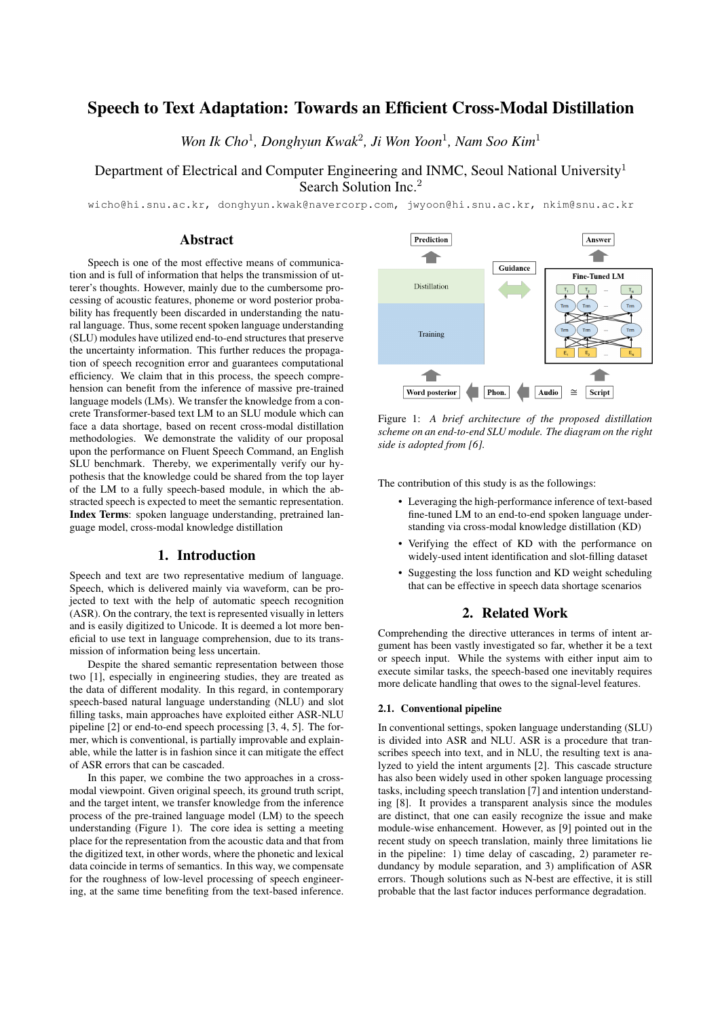# Speech to Text Adaptation: Towards an Efficient Cross-Modal Distillation

*Won Ik Cho*<sup>1</sup> *, Donghyun Kwak*<sup>2</sup> *, Ji Won Yoon*<sup>1</sup> *, Nam Soo Kim*<sup>1</sup>

## Department of Electrical and Computer Engineering and INMC, Seoul National University<sup>1</sup> Search Solution Inc.<sup>2</sup>

wicho@hi.snu.ac.kr, donghyun.kwak@navercorp.com, jwyoon@hi.snu.ac.kr, nkim@snu.ac.kr

## Abstract

Speech is one of the most effective means of communication and is full of information that helps the transmission of utterer's thoughts. However, mainly due to the cumbersome processing of acoustic features, phoneme or word posterior probability has frequently been discarded in understanding the natural language. Thus, some recent spoken language understanding (SLU) modules have utilized end-to-end structures that preserve the uncertainty information. This further reduces the propagation of speech recognition error and guarantees computational efficiency. We claim that in this process, the speech comprehension can benefit from the inference of massive pre-trained language models (LMs). We transfer the knowledge from a concrete Transformer-based text LM to an SLU module which can face a data shortage, based on recent cross-modal distillation methodologies. We demonstrate the validity of our proposal upon the performance on Fluent Speech Command, an English SLU benchmark. Thereby, we experimentally verify our hypothesis that the knowledge could be shared from the top layer of the LM to a fully speech-based module, in which the abstracted speech is expected to meet the semantic representation. Index Terms: spoken language understanding, pretrained language model, cross-modal knowledge distillation

## 1. Introduction

Speech and text are two representative medium of language. Speech, which is delivered mainly via waveform, can be projected to text with the help of automatic speech recognition (ASR). On the contrary, the text is represented visually in letters and is easily digitized to Unicode. It is deemed a lot more beneficial to use text in language comprehension, due to its transmission of information being less uncertain.

Despite the shared semantic representation between those two [1], especially in engineering studies, they are treated as the data of different modality. In this regard, in contemporary speech-based natural language understanding (NLU) and slot filling tasks, main approaches have exploited either ASR-NLU pipeline [2] or end-to-end speech processing [3, 4, 5]. The former, which is conventional, is partially improvable and explainable, while the latter is in fashion since it can mitigate the effect of ASR errors that can be cascaded.

In this paper, we combine the two approaches in a crossmodal viewpoint. Given original speech, its ground truth script, and the target intent, we transfer knowledge from the inference process of the pre-trained language model (LM) to the speech understanding (Figure 1). The core idea is setting a meeting place for the representation from the acoustic data and that from the digitized text, in other words, where the phonetic and lexical data coincide in terms of semantics. In this way, we compensate for the roughness of low-level processing of speech engineering, at the same time benefiting from the text-based inference.



Figure 1: *A brief architecture of the proposed distillation scheme on an end-to-end SLU module. The diagram on the right side is adopted from [6].*

The contribution of this study is as the followings:

- Leveraging the high-performance inference of text-based fine-tuned LM to an end-to-end spoken language understanding via cross-modal knowledge distillation (KD)
- Verifying the effect of KD with the performance on widely-used intent identification and slot-filling dataset
- Suggesting the loss function and KD weight scheduling that can be effective in speech data shortage scenarios

## 2. Related Work

Comprehending the directive utterances in terms of intent argument has been vastly investigated so far, whether it be a text or speech input. While the systems with either input aim to execute similar tasks, the speech-based one inevitably requires more delicate handling that owes to the signal-level features.

## 2.1. Conventional pipeline

In conventional settings, spoken language understanding (SLU) is divided into ASR and NLU. ASR is a procedure that transcribes speech into text, and in NLU, the resulting text is analyzed to yield the intent arguments [2]. This cascade structure has also been widely used in other spoken language processing tasks, including speech translation [7] and intention understanding [8]. It provides a transparent analysis since the modules are distinct, that one can easily recognize the issue and make module-wise enhancement. However, as [9] pointed out in the recent study on speech translation, mainly three limitations lie in the pipeline: 1) time delay of cascading, 2) parameter redundancy by module separation, and 3) amplification of ASR errors. Though solutions such as N-best are effective, it is still probable that the last factor induces performance degradation.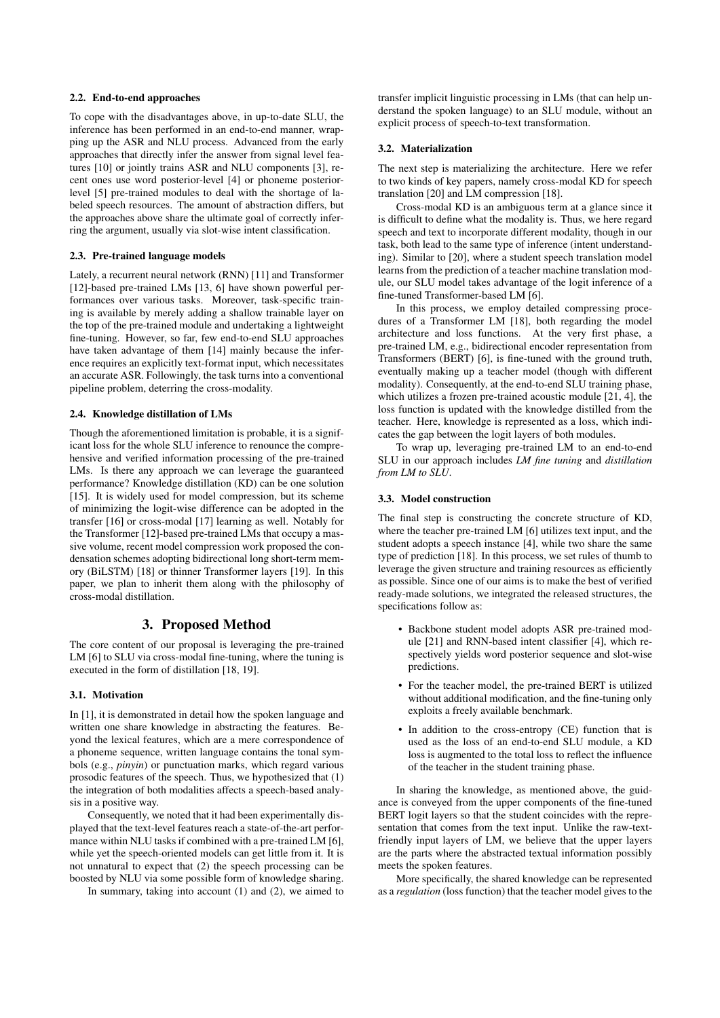### 2.2. End-to-end approaches

To cope with the disadvantages above, in up-to-date SLU, the inference has been performed in an end-to-end manner, wrapping up the ASR and NLU process. Advanced from the early approaches that directly infer the answer from signal level features [10] or jointly trains ASR and NLU components [3], recent ones use word posterior-level [4] or phoneme posteriorlevel [5] pre-trained modules to deal with the shortage of labeled speech resources. The amount of abstraction differs, but the approaches above share the ultimate goal of correctly inferring the argument, usually via slot-wise intent classification.

#### 2.3. Pre-trained language models

Lately, a recurrent neural network (RNN) [11] and Transformer [12]-based pre-trained LMs [13, 6] have shown powerful performances over various tasks. Moreover, task-specific training is available by merely adding a shallow trainable layer on the top of the pre-trained module and undertaking a lightweight fine-tuning. However, so far, few end-to-end SLU approaches have taken advantage of them [14] mainly because the inference requires an explicitly text-format input, which necessitates an accurate ASR. Followingly, the task turns into a conventional pipeline problem, deterring the cross-modality.

#### 2.4. Knowledge distillation of LMs

Though the aforementioned limitation is probable, it is a significant loss for the whole SLU inference to renounce the comprehensive and verified information processing of the pre-trained LMs. Is there any approach we can leverage the guaranteed performance? Knowledge distillation (KD) can be one solution [15]. It is widely used for model compression, but its scheme of minimizing the logit-wise difference can be adopted in the transfer [16] or cross-modal [17] learning as well. Notably for the Transformer [12]-based pre-trained LMs that occupy a massive volume, recent model compression work proposed the condensation schemes adopting bidirectional long short-term memory (BiLSTM) [18] or thinner Transformer layers [19]. In this paper, we plan to inherit them along with the philosophy of cross-modal distillation.

## 3. Proposed Method

The core content of our proposal is leveraging the pre-trained LM [6] to SLU via cross-modal fine-tuning, where the tuning is executed in the form of distillation [18, 19].

#### 3.1. Motivation

In [1], it is demonstrated in detail how the spoken language and written one share knowledge in abstracting the features. Beyond the lexical features, which are a mere correspondence of a phoneme sequence, written language contains the tonal symbols (e.g., *pinyin*) or punctuation marks, which regard various prosodic features of the speech. Thus, we hypothesized that (1) the integration of both modalities affects a speech-based analysis in a positive way.

Consequently, we noted that it had been experimentally displayed that the text-level features reach a state-of-the-art performance within NLU tasks if combined with a pre-trained LM [6], while yet the speech-oriented models can get little from it. It is not unnatural to expect that (2) the speech processing can be boosted by NLU via some possible form of knowledge sharing.

In summary, taking into account  $(1)$  and  $(2)$ , we aimed to

transfer implicit linguistic processing in LMs (that can help understand the spoken language) to an SLU module, without an explicit process of speech-to-text transformation.

#### 3.2. Materialization

The next step is materializing the architecture. Here we refer to two kinds of key papers, namely cross-modal KD for speech translation [20] and LM compression [18].

Cross-modal KD is an ambiguous term at a glance since it is difficult to define what the modality is. Thus, we here regard speech and text to incorporate different modality, though in our task, both lead to the same type of inference (intent understanding). Similar to [20], where a student speech translation model learns from the prediction of a teacher machine translation module, our SLU model takes advantage of the logit inference of a fine-tuned Transformer-based LM [6].

In this process, we employ detailed compressing procedures of a Transformer LM [18], both regarding the model architecture and loss functions. At the very first phase, a pre-trained LM, e.g., bidirectional encoder representation from Transformers (BERT) [6], is fine-tuned with the ground truth, eventually making up a teacher model (though with different modality). Consequently, at the end-to-end SLU training phase, which utilizes a frozen pre-trained acoustic module [21, 4], the loss function is updated with the knowledge distilled from the teacher. Here, knowledge is represented as a loss, which indicates the gap between the logit layers of both modules.

To wrap up, leveraging pre-trained LM to an end-to-end SLU in our approach includes *LM fine tuning* and *distillation from LM to SLU*.

### 3.3. Model construction

The final step is constructing the concrete structure of KD, where the teacher pre-trained LM [6] utilizes text input, and the student adopts a speech instance [4], while two share the same type of prediction [18]. In this process, we set rules of thumb to leverage the given structure and training resources as efficiently as possible. Since one of our aims is to make the best of verified ready-made solutions, we integrated the released structures, the specifications follow as:

- Backbone student model adopts ASR pre-trained module [21] and RNN-based intent classifier [4], which respectively yields word posterior sequence and slot-wise predictions.
- For the teacher model, the pre-trained BERT is utilized without additional modification, and the fine-tuning only exploits a freely available benchmark.
- In addition to the cross-entropy (CE) function that is used as the loss of an end-to-end SLU module, a KD loss is augmented to the total loss to reflect the influence of the teacher in the student training phase.

In sharing the knowledge, as mentioned above, the guidance is conveyed from the upper components of the fine-tuned BERT logit layers so that the student coincides with the representation that comes from the text input. Unlike the raw-textfriendly input layers of LM, we believe that the upper layers are the parts where the abstracted textual information possibly meets the spoken features.

More specifically, the shared knowledge can be represented as a *regulation* (loss function) that the teacher model gives to the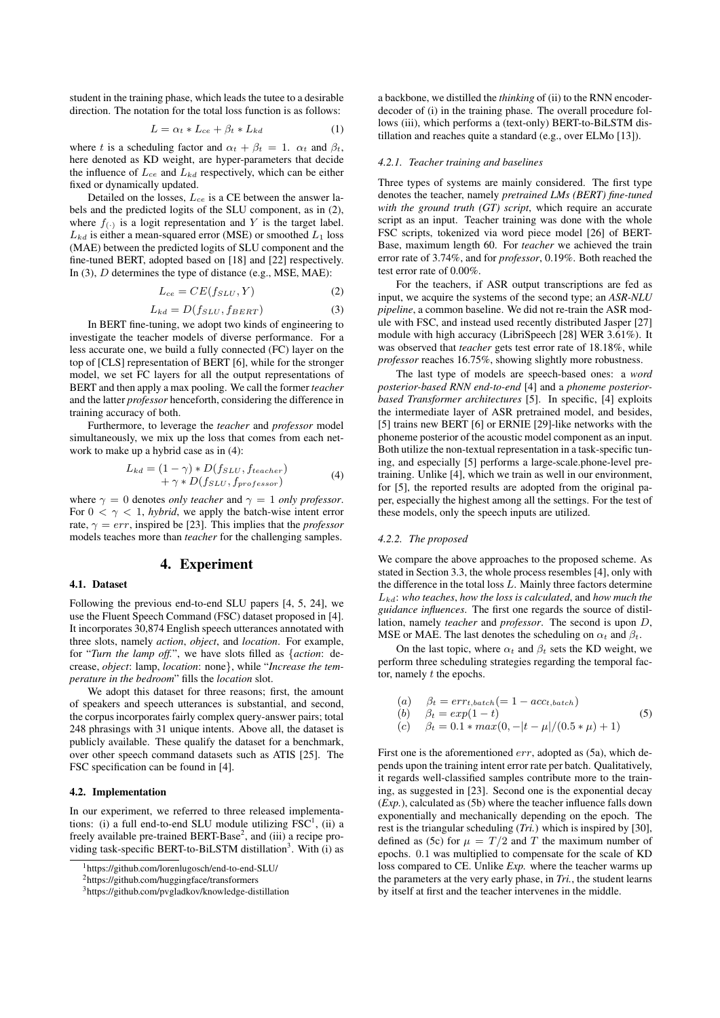student in the training phase, which leads the tutee to a desirable direction. The notation for the total loss function is as follows:

$$
L = \alpha_t * L_{ce} + \beta_t * L_{kd} \tag{1}
$$

where t is a scheduling factor and  $\alpha_t + \beta_t = 1$ .  $\alpha_t$  and  $\beta_t$ , here denoted as KD weight, are hyper-parameters that decide the influence of  $L_{ce}$  and  $L_{kd}$  respectively, which can be either fixed or dynamically updated.

Detailed on the losses,  $L_{ce}$  is a CE between the answer labels and the predicted logits of the SLU component, as in (2), where  $f_{(.)}$  is a logit representation and Y is the target label.  $L_{kd}$  is either a mean-squared error (MSE) or smoothed  $L_1$  loss (MAE) between the predicted logits of SLU component and the fine-tuned BERT, adopted based on [18] and [22] respectively. In (3), D determines the type of distance (e.g., MSE, MAE):

$$
L_{ce} = CE(f_{SLU}, Y) \tag{2}
$$

$$
L_{kd} = D(f_{SLU}, f_{BERT})
$$
\n(3)

In BERT fine-tuning, we adopt two kinds of engineering to investigate the teacher models of diverse performance. For a less accurate one, we build a fully connected (FC) layer on the top of [CLS] representation of BERT [6], while for the stronger model, we set FC layers for all the output representations of BERT and then apply a max pooling. We call the former *teacher* and the latter *professor* henceforth, considering the difference in training accuracy of both.

Furthermore, to leverage the *teacher* and *professor* model simultaneously, we mix up the loss that comes from each network to make up a hybrid case as in (4):

$$
L_{kd} = (1 - \gamma) * D(f_{SLU}, f_{teacher})
$$
  
+  $\gamma * D(f_{SLU}, f_{professor})$  (4)

where  $\gamma = 0$  denotes *only teacher* and  $\gamma = 1$  *only professor.* For  $0 < \gamma < 1$ , *hybrid*, we apply the batch-wise intent error rate,  $\gamma = err$ , inspired be [23]. This implies that the *professor* models teaches more than *teacher* for the challenging samples.

### 4. Experiment

#### 4.1. Dataset

Following the previous end-to-end SLU papers [4, 5, 24], we use the Fluent Speech Command (FSC) dataset proposed in [4]. It incorporates 30,874 English speech utterances annotated with three slots, namely *action*, *object*, and *location*. For example, for "*Turn the lamp off.*", we have slots filled as {*action*: decrease, *object*: lamp, *location*: none}, while "*Increase the temperature in the bedroom*" fills the *location* slot.

We adopt this dataset for three reasons; first, the amount of speakers and speech utterances is substantial, and second, the corpus incorporates fairly complex query-answer pairs; total 248 phrasings with 31 unique intents. Above all, the dataset is publicly available. These qualify the dataset for a benchmark, over other speech command datasets such as ATIS [25]. The FSC specification can be found in [4].

#### 4.2. Implementation

In our experiment, we referred to three released implementations: (i) a full end-to-end SLU module utilizing  $FSC<sup>1</sup>$ , (ii) a freely available pre-trained BERT-Base<sup>2</sup>, and (iii) a recipe providing task-specific BERT-to-BiLSTM distillation<sup>3</sup>. With (i) as

<sup>2</sup>https://github.com/huggingface/transformers

a backbone, we distilled the *thinking* of (ii) to the RNN encoderdecoder of (i) in the training phase. The overall procedure follows (iii), which performs a (text-only) BERT-to-BiLSTM distillation and reaches quite a standard (e.g., over ELMo [13]).

#### *4.2.1. Teacher training and baselines*

Three types of systems are mainly considered. The first type denotes the teacher, namely *pretrained LMs (BERT) fine-tuned with the ground truth (GT) script*, which require an accurate script as an input. Teacher training was done with the whole FSC scripts, tokenized via word piece model [26] of BERT-Base, maximum length 60. For *teacher* we achieved the train error rate of 3.74%, and for *professor*, 0.19%. Both reached the test error rate of 0.00%.

For the teachers, if ASR output transcriptions are fed as input, we acquire the systems of the second type; an *ASR-NLU pipeline*, a common baseline. We did not re-train the ASR module with FSC, and instead used recently distributed Jasper [27] module with high accuracy (LibriSpeech [28] WER 3.61%). It was observed that *teacher* gets test error rate of 18.18%, while *professor* reaches 16.75%, showing slightly more robustness.

The last type of models are speech-based ones: a *word posterior-based RNN end-to-end* [4] and a *phoneme posteriorbased Transformer architectures* [5]. In specific, [4] exploits the intermediate layer of ASR pretrained model, and besides, [5] trains new BERT [6] or ERNIE [29]-like networks with the phoneme posterior of the acoustic model component as an input. Both utilize the non-textual representation in a task-specific tuning, and especially [5] performs a large-scale.phone-level pretraining. Unlike [4], which we train as well in our environment, for [5], the reported results are adopted from the original paper, especially the highest among all the settings. For the test of these models, only the speech inputs are utilized.

#### *4.2.2. The proposed*

We compare the above approaches to the proposed scheme. As stated in Section 3.3, the whole process resembles [4], only with the difference in the total loss L. Mainly three factors determine Lkd: *who teaches*, *how the loss is calculated*, and *how much the guidance influences*. The first one regards the source of distillation, namely *teacher* and *professor*. The second is upon D, MSE or MAE. The last denotes the scheduling on  $\alpha_t$  and  $\beta_t$ .

On the last topic, where  $\alpha_t$  and  $\beta_t$  sets the KD weight, we perform three scheduling strategies regarding the temporal factor, namely  $t$  the epochs.

$$
(a) \quad \beta_t = err_{t,batch} (= 1 - acc_{t,batch})
$$
  
\n
$$
(b) \quad \beta_t = exp(1 - t)
$$
 (5)

(b) 
$$
\beta_t = exp(1 -
$$

(c) 
$$
\beta_t = 0.1 * max(0, -|t - \mu|/(0.5 * \mu) + 1)
$$

First one is the aforementioned *err*, adopted as (5a), which depends upon the training intent error rate per batch. Qualitatively, it regards well-classified samples contribute more to the training, as suggested in [23]. Second one is the exponential decay (*Exp.*), calculated as (5b) where the teacher influence falls down exponentially and mechanically depending on the epoch. The rest is the triangular scheduling (*Tri.*) which is inspired by [30], defined as (5c) for  $\mu = T/2$  and T the maximum number of epochs. 0.1 was multiplied to compensate for the scale of KD loss compared to CE. Unlike *Exp.* where the teacher warms up the parameters at the very early phase, in *Tri.*, the student learns by itself at first and the teacher intervenes in the middle.

<sup>1</sup>https://github.com/lorenlugosch/end-to-end-SLU/

<sup>3</sup>https://github.com/pvgladkov/knowledge-distillation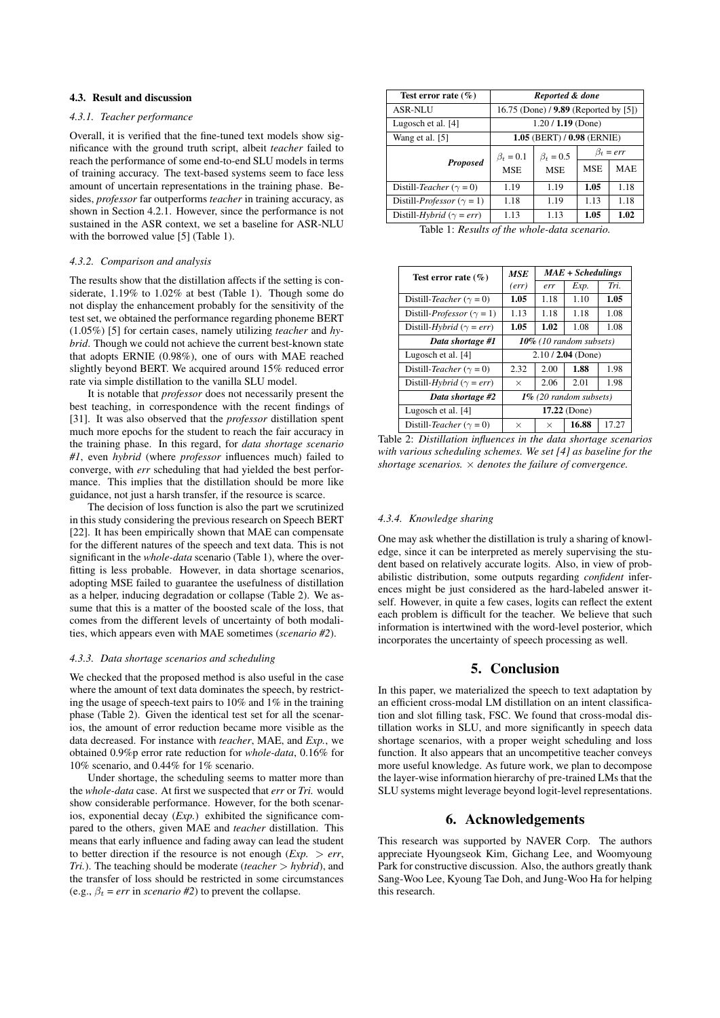### 4.3. Result and discussion

#### *4.3.1. Teacher performance*

Overall, it is verified that the fine-tuned text models show significance with the ground truth script, albeit *teacher* failed to reach the performance of some end-to-end SLU models in terms of training accuracy. The text-based systems seem to face less amount of uncertain representations in the training phase. Besides, *professor* far outperforms *teacher* in training accuracy, as shown in Section 4.2.1. However, since the performance is not sustained in the ASR context, we set a baseline for ASR-NLU with the borrowed value [5] (Table 1).

#### *4.3.2. Comparison and analysis*

The results show that the distillation affects if the setting is considerate, 1.19% to 1.02% at best (Table 1). Though some do not display the enhancement probably for the sensitivity of the test set, we obtained the performance regarding phoneme BERT (1.05%) [5] for certain cases, namely utilizing *teacher* and *hybrid*. Though we could not achieve the current best-known state that adopts ERNIE (0.98%), one of ours with MAE reached slightly beyond BERT. We acquired around 15% reduced error rate via simple distillation to the vanilla SLU model.

It is notable that *professor* does not necessarily present the best teaching, in correspondence with the recent findings of [31]. It was also observed that the *professor* distillation spent much more epochs for the student to reach the fair accuracy in the training phase. In this regard, for *data shortage scenario #1*, even *hybrid* (where *professor* influences much) failed to converge, with *err* scheduling that had yielded the best performance. This implies that the distillation should be more like guidance, not just a harsh transfer, if the resource is scarce.

The decision of loss function is also the part we scrutinized in this study considering the previous research on Speech BERT [22]. It has been empirically shown that MAE can compensate for the different natures of the speech and text data. This is not significant in the *whole-data* scenario (Table 1), where the overfitting is less probable. However, in data shortage scenarios, adopting MSE failed to guarantee the usefulness of distillation as a helper, inducing degradation or collapse (Table 2). We assume that this is a matter of the boosted scale of the loss, that comes from the different levels of uncertainty of both modalities, which appears even with MAE sometimes (*scenario #2*).

#### *4.3.3. Data shortage scenarios and scheduling*

We checked that the proposed method is also useful in the case where the amount of text data dominates the speech, by restricting the usage of speech-text pairs to 10% and 1% in the training phase (Table 2). Given the identical test set for all the scenarios, the amount of error reduction became more visible as the data decreased. For instance with *teacher*, MAE, and *Exp.*, we obtained 0.9%p error rate reduction for *whole-data*, 0.16% for 10% scenario, and 0.44% for 1% scenario.

Under shortage, the scheduling seems to matter more than the *whole-data* case. At first we suspected that *err* or *Tri.* would show considerable performance. However, for the both scenarios, exponential decay (*Exp.*) exhibited the significance compared to the others, given MAE and *teacher* distillation. This means that early influence and fading away can lead the student to better direction if the resource is not enough  $(Exp. > err,$ *Tri.*). The teaching should be moderate (*teacher* > *hybrid*), and the transfer of loss should be restricted in some circumstances (e.g.,  $\beta_t = err$  in *scenario* #2) to prevent the collapse.

| Test error rate $(\% )$                    | Reported & done                       |                 |                 |            |  |
|--------------------------------------------|---------------------------------------|-----------------|-----------------|------------|--|
| ASR-NLU                                    | 16.75 (Done) / 9.89 (Reported by [5]) |                 |                 |            |  |
| Lugosch et al. [4]                         | $1.20 / 1.19$ (Done)                  |                 |                 |            |  |
| Wang et al. [5]                            | $1.05$ (BERT) / $0.98$ (ERNIE)        |                 |                 |            |  |
| <b>Proposed</b>                            | $\beta_t = 0.1$                       | $\beta_t = 0.5$ | $\beta_t = err$ |            |  |
|                                            | <b>MSE</b>                            | <b>MSE</b>      | <b>MSE</b>      | <b>MAE</b> |  |
| Distill-Teacher ( $\gamma = 0$ )           | 1.19                                  | 1.19            | 1.05            | 1.18       |  |
| Distill- <i>Professor</i> ( $\gamma = 1$ ) | 1.18                                  | 1.19            | 1.13            | 1.18       |  |
| Distill-Hybrid ( $\gamma = err$ )          | 1.13                                  | 1.13            | 1.05            | 1.02       |  |

Table 1: *Results of the whole-data scenario.*

| Test error rate $(\% )$                    | MSE                       | $MAE + Scheduling$ |       |       |  |
|--------------------------------------------|---------------------------|--------------------|-------|-------|--|
|                                            | (err)                     | err                | Exp.  | Tri.  |  |
| Distill-Teacher ( $\gamma = 0$ )           | 1.05                      | 1.18               | 1.10  | 1.05  |  |
| Distill- <i>Professor</i> ( $\gamma = 1$ ) | 1.13                      | 1.18               | 1.18  | 1.08  |  |
| Distill-Hybrid ( $\gamma = err$ )          | 1.05                      | 1.02               | 1.08  | 1.08  |  |
| Data shortage #1                           | 10% (10 random subsets)   |                    |       |       |  |
| Lugosch et al. [4]                         | $2.10 / 2.04$ (Done)      |                    |       |       |  |
| Distill-Teacher ( $\gamma = 0$ )           | 2.32                      | 2.00               | 1.88  | 1.98  |  |
| Distill- <i>Hybrid</i> ( $\gamma = err$ )  | $\times$                  | 2.06               | 2.01  | 1.98  |  |
| Data shortage #2                           | $1\%$ (20 random subsets) |                    |       |       |  |
| Lugosch et al. [4]                         | $17.22$ (Done)            |                    |       |       |  |
| Distill-Teacher ( $\gamma = 0$ )           | $\times$                  | $\times$           | 16.88 | 17.27 |  |

Table 2: *Distillation influences in the data shortage scenarios with various scheduling schemes. We set [4] as baseline for the shortage scenarios.* × *denotes the failure of convergence.*

### *4.3.4. Knowledge sharing*

One may ask whether the distillation is truly a sharing of knowledge, since it can be interpreted as merely supervising the student based on relatively accurate logits. Also, in view of probabilistic distribution, some outputs regarding *confident* inferences might be just considered as the hard-labeled answer itself. However, in quite a few cases, logits can reflect the extent each problem is difficult for the teacher. We believe that such information is intertwined with the word-level posterior, which incorporates the uncertainty of speech processing as well.

## 5. Conclusion

In this paper, we materialized the speech to text adaptation by an efficient cross-modal LM distillation on an intent classification and slot filling task, FSC. We found that cross-modal distillation works in SLU, and more significantly in speech data shortage scenarios, with a proper weight scheduling and loss function. It also appears that an uncompetitive teacher conveys more useful knowledge. As future work, we plan to decompose the layer-wise information hierarchy of pre-trained LMs that the SLU systems might leverage beyond logit-level representations.

## 6. Acknowledgements

This research was supported by NAVER Corp. The authors appreciate Hyoungseok Kim, Gichang Lee, and Woomyoung Park for constructive discussion. Also, the authors greatly thank Sang-Woo Lee, Kyoung Tae Doh, and Jung-Woo Ha for helping this research.